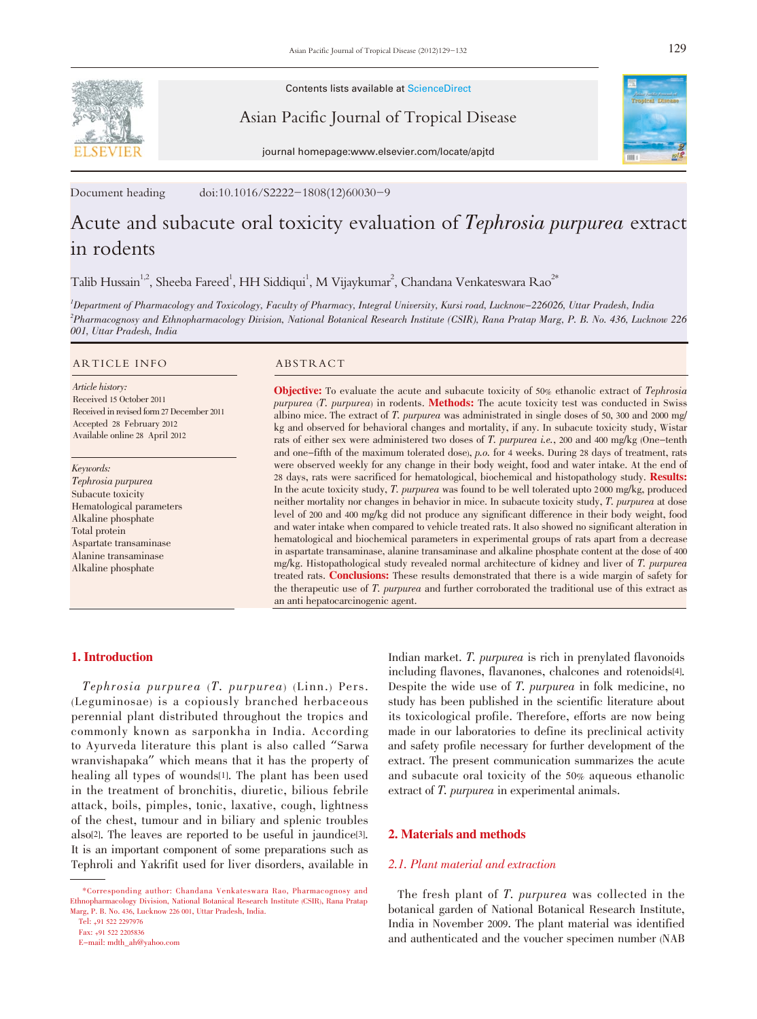

Contents lists available at ScienceDirect

Asian Pacific Journal of Tropical Disease



journal homepage:www.elsevier.com/locate/apjtd

Document heading doi:10.1016/S2222-1808(12)60030-9

# Acute and subacute oral toxicity evaluation of Tephrosia purpurea extract in rodents

Talib Hussain<sup>1,2</sup>, Sheeba Fareed<sup>1</sup>, HH Siddiqui<sup>1</sup>, M Vijaykumar<sup>2</sup>, Chandana Venkateswara Rao<sup>2\*</sup>

1 Department of Pharmacology and Toxicology, Faculty of Pharmacy, Integral University, Kursi road, Lucknow-226026, Uttar Pradesh, India 2 Pharmacognosy and Ethnopharmacology Division, National Botanical Research Institute (CSIR), Rana Pratap Marg, P. B. No. 436, Lucknow 226 001, Uttar Pradesh, India

#### ARTICLE INFO ABSTRACT

Article history: Received 15 October 2011 Received in revised form 27 December 2011 Accepted 28 February 2012 Available online 28 April 2012

Keywords: Tephrosia purpurea Subacute toxicity Hematological parameters Alkaline phosphate

Total protein Aspartate transaminase Alanine transaminase Alkaline phosphate

Objective: To evaluate the acute and subacute toxicity of 50% ethanolic extract of Tephrosia purpurea (T. purpurea) in rodents. Methods: The acute toxicity test was conducted in Swiss albino mice. The extract of T. purpurea was administrated in single doses of 50, <sup>300</sup> and <sup>2000</sup> mg/ kg and observed for behavioral changes and mortality, if any. In subacute toxicity study, Wistar rats of either sex were administered two doses of T. purpurea i.e., 200 and 400 mg/kg (One-tenth and one-fifth of the maximum tolerated dose), p.o. for <sup>4</sup> weeks. During <sup>28</sup> days of treatment, rats were observed weekly for any change in their body weight, food and water intake. At the end of <sup>28</sup> days, rats were sacrificed for hematological, biochemical and histopathology study. Results: In the acute toxicity study, T. purpurea was found to be well tolerated upto <sup>2</sup> <sup>000</sup> mg/kg, produced neither mortality nor changes in behavior in mice. In subacute toxicity study, T. purpurea at dose level of 200 and 400 mg/kg did not produce any significant difference in their body weight, food and water intake when compared to vehicle treated rats. It also showed no significant alteration in hematological and biochemical parameters in experimental groups of rats apart from a decrease in aspartate transaminase, alanine transaminase and alkaline phosphate content at the dose of 400 mg/kg. Histopathological study revealed normal architecture of kidney and liver of T. purpurea treated rats. Conclusions: These results demonstrated that there is a wide margin of safety for the therapeutic use of T. purpurea and further corroborated the traditional use of this extract as an anti hepatocarcinogenic agent.

# 1. Introduction

Tephrosia purpurea (T. purpurea) (Linn.) Pers. (Leguminosae) is a copiously branched herbaceous perennial plant distributed throughout the tropics and commonly known as sarponkha in India. According to Ayurveda literature this plant is also called "Sarwa wranvishapaka" which means that it has the property of healing all types of wounds[1]. The plant has been used in the treatment of bronchitis, diuretic, bilious febrile attack, boils, pimples, tonic, laxative, cough, lightness of the chest, tumour and in biliary and splenic troubles also[2]. The leaves are reported to be useful in jaundice[3]. It is an important component of some preparations such as Tephroli and Yakrifit used for liver disorders, available in

Tel: +91 522 2297976

Fax: +91 522 2205836

Indian market. T. purpurea is rich in prenylated flavonoids including flavones, flavanones, chalcones and rotenoids[4]. Despite the wide use of T. purpurea in folk medicine, no study has been published in the scientific literature about its toxicological profile. Therefore, efforts are now being made in our laboratories to define its preclinical activity and safety profile necessary for further development of the extract. The present communication summarizes the acute and subacute oral toxicity of the 50% aqueous ethanolic extract of T. *purpurea* in experimental animals.

### 2. Materials and methods

## 2.1. Plant material and extraction

The fresh plant of T. purpurea was collected in the botanical garden of National Botanical Research Institute, India in November 2009. The plant material was identified and authenticated and the voucher specimen number (NAB

<sup>\*</sup>Corresponding author: Chandana Venkateswara Rao, Pharmacognosy and Ethnopharmacology Division, National Botanical Research Institute (CSIR), Rana Pratap Marg, P. B. No. 436, Lucknow 226 001, Uttar Pradesh, India.

E-mail: mdth\_ah@yahoo.com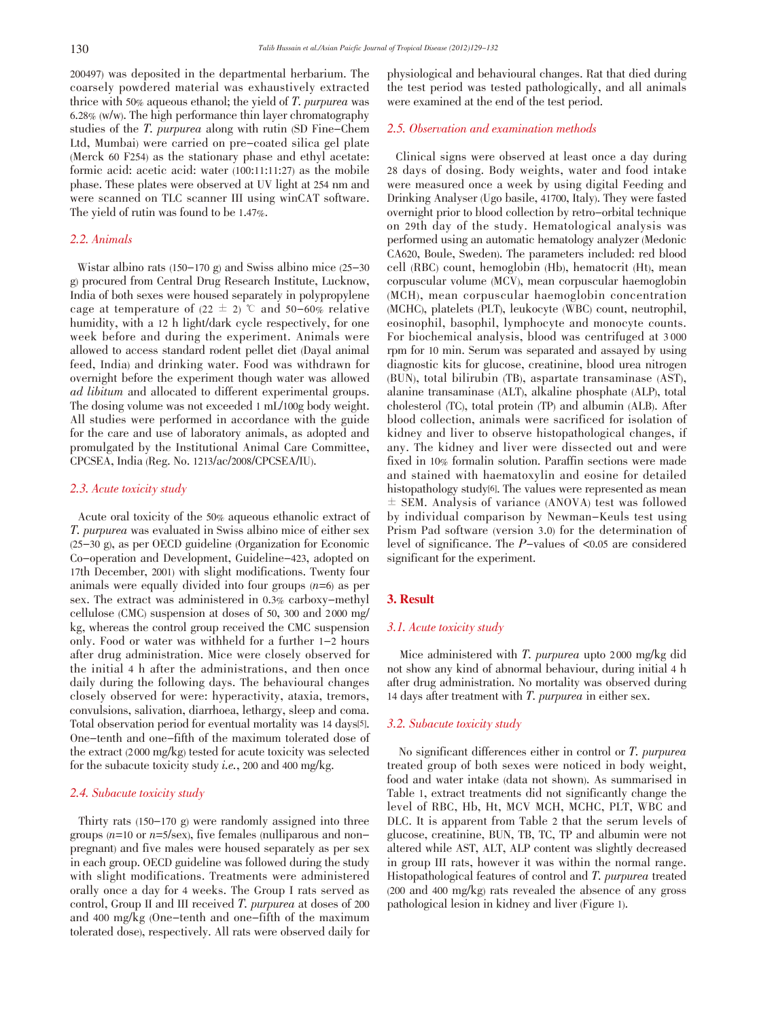200497) was deposited in the departmental herbarium. The coarsely powdered material was exhaustively extracted thrice with 50% aqueous ethanol; the yield of T. purpurea was 6.28% (w/w). The high performance thin layer chromatography studies of the T. purpurea along with rutin (SD Fine-Chem Ltd, Mumbai) were carried on pre-coated silica gel plate (Merck 60 F254) as the stationary phase and ethyl acetate: formic acid: acetic acid: water (100:11:11:27) as the mobile phase. These plates were observed at UV light at 254 nm and were scanned on TLC scanner III using winCAT software. The yield of rutin was found to be 1.47%.

# 2.2. Animals

Wistar albino rats (150-170 g) and Swiss albino mice (25-30 g) procured from Central Drug Research Institute, Lucknow, India of both sexes were housed separately in polypropylene cage at temperature of (22  $\pm$  2) °C and 50-60% relative humidity, with a 12 h light/dark cycle respectively, for one week before and during the experiment. Animals were allowed to access standard rodent pellet diet (Dayal animal feed, India) and drinking water. Food was withdrawn for overnight before the experiment though water was allowed ad libitum and allocated to different experimental groups. The dosing volume was not exceeded 1 mL/100g body weight. All studies were performed in accordance with the guide for the care and use of laboratory animals, as adopted and promulgated by the Institutional Animal Care Committee, CPCSEA, India (Reg. No. 1213/ac/2008/CPCSEA/IU).

#### 2.3. Acute toxicity study

Acute oral toxicity of the 50% aqueous ethanolic extract of T. purpurea was evaluated in Swiss albino mice of either sex (25-30 g), as per OECD guideline (Organization for Economic Co-operation and Development, Guideline-423, adopted on 17th December, 2001) with slight modifications. Twenty four animals were equally divided into four groups  $(n=6)$  as per sex. The extract was administered in 0.3% carboxy-methyl cellulose (CMC) suspension at doses of 50, 300 and 2 000 mg/ kg, whereas the control group received the CMC suspension only. Food or water was withheld for a further 1-2 hours after drug administration. Mice were closely observed for the initial 4 h after the administrations, and then once daily during the following days. The behavioural changes closely observed for were: hyperactivity, ataxia, tremors, convulsions, salivation, diarrhoea, lethargy, sleep and coma. Total observation period for eventual mortality was 14 days[5]. One-tenth and one-fifth of the maximum tolerated dose of the extract (2 000 mg/kg) tested for acute toxicity was selected for the subacute toxicity study i.e., <sup>200</sup> and <sup>400</sup> mg/kg.

# 2.4. Subacute toxicity study

Thirty rats (150-170 g) were randomly assigned into three groups  $(n=10 \text{ or } n=5/\text{sex})$ , five females (nulliparous and nonpregnant) and five males were housed separately as per sex in each group. OECD guideline was followed during the study with slight modifications. Treatments were administered orally once a day for 4 weeks. The Group I rats served as control, Group II and III received T. purpurea at doses of <sup>200</sup> and 400 mg/kg (One-tenth and one-fifth of the maximum tolerated dose), respectively. All rats were observed daily for

physiological and behavioural changes. Rat that died during the test period was tested pathologically, and all animals were examined at the end of the test period.

# 2.5. Observation and examination methods

Clinical signs were observed at least once a day during 28 days of dosing. Body weights, water and food intake were measured once a week by using digital Feeding and Drinking Analyser (Ugo basile, 41700, Italy). They were fasted overnight prior to blood collection by retro-orbital technique on 29th day of the study. Hematological analysis was performed using an automatic hematology analyzer (Medonic CA620, Boule, Sweden). The parameters included: red blood cell (RBC) count, hemoglobin (Hb), hematocrit (Ht), mean corpuscular volume (MCV), mean corpuscular haemoglobin (MCH), mean corpuscular haemoglobin concentration (MCHC), platelets (PLT), leukocyte (WBC) count, neutrophil, eosinophil, basophil, lymphocyte and monocyte counts. For biochemical analysis, blood was centrifuged at 3 000 rpm for 10 min. Serum was separated and assayed by using diagnostic kits for glucose, creatinine, blood urea nitrogen (BUN), total bilirubin (TB), aspartate transaminase (AST), alanine transaminase (ALT), alkaline phosphate (ALP), total cholesterol (TC), total protein (TP) and albumin (ALB). After blood collection, animals were sacrificed for isolation of kidney and liver to observe histopathological changes, if any. The kidney and liver were dissected out and were fixed in 10% formalin solution. Paraffin sections were made and stained with haematoxylin and eosine for detailed histopathology study<sup>[6]</sup>. The values were represented as mean  $\pm$  SEM. Analysis of variance (ANOVA) test was followed by individual comparison by Newman-Keuls test using Prism Pad software (version 3.0) for the determination of level of significance. The P-values of <0.05 are considered significant for the experiment.

# 3. Result

#### 3.1. Acute toxicity study

Mice administered with T. purpurea upto 2000 mg/kg did not show any kind of abnormal behaviour, during initial 4 h after drug administration. No mortality was observed during <sup>14</sup> days after treatment with T. purpurea in either sex.

#### 3.2. Subacute toxicity study

No significant differences either in control or T. purpurea treated group of both sexes were noticed in body weight, food and water intake (data not shown). As summarised in Table 1, extract treatments did not significantly change the level of RBC, Hb, Ht, MCV MCH, MCHC, PLT, WBC and DLC. It is apparent from Table 2 that the serum levels of glucose, creatinine, BUN, TB, TC, TP and albumin were not altered while AST, ALT, ALP content was slightly decreased in group III rats, however it was within the normal range. Histopathological features of control and T. purpurea treated (200 and 400 mg/kg) rats revealed the absence of any gross pathological lesion in kidney and liver (Figure 1).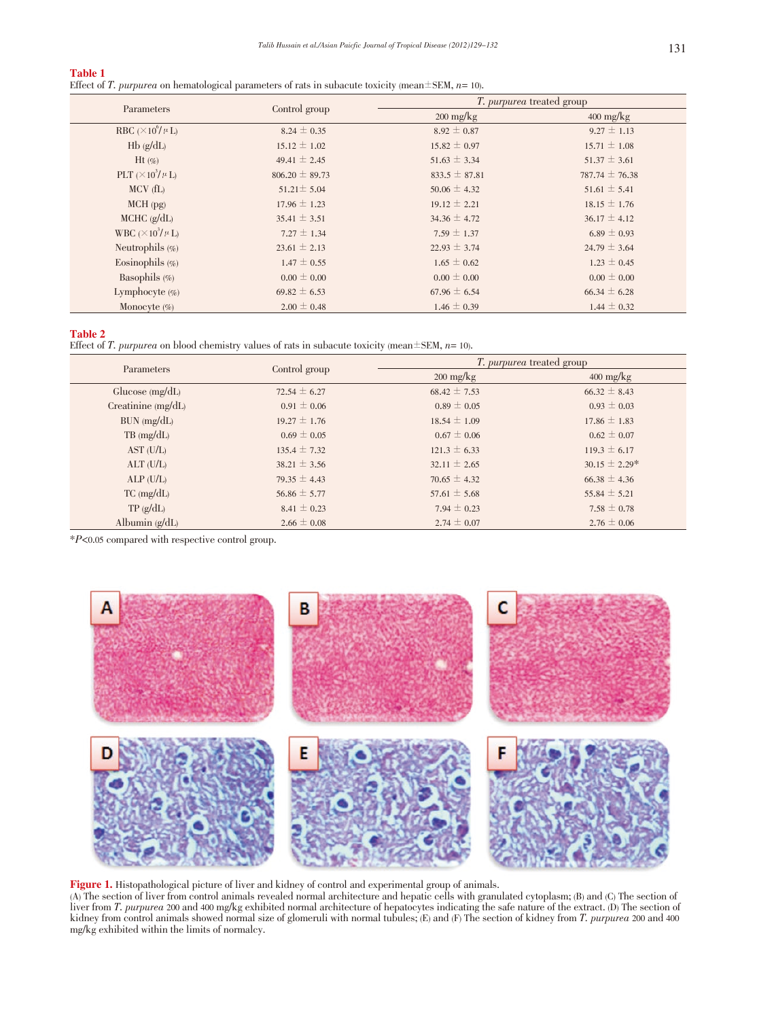| <b>Table 1</b>                                                                                          |  |
|---------------------------------------------------------------------------------------------------------|--|
| Effect of T. purpurea on hematological parameters of rats in subacute toxicity (mean $\pm$ SEM, n= 10). |  |

| Parameters              | Control group      | <i>T. purpurea</i> treated group  |                                   |
|-------------------------|--------------------|-----------------------------------|-----------------------------------|
|                         |                    | $200 \frac{\text{mg}}{\text{kg}}$ | $400 \frac{\text{mg}}{\text{kg}}$ |
| RBC $(\times 10^6/\mu)$ | $8.24 \pm 0.35$    | $8.92 \pm 0.87$                   | $9.27 \pm 1.13$                   |
| Hb(g/dL)                | $15.12 \pm 1.02$   | $15.82 \pm 0.97$                  | $15.71 \pm 1.08$                  |
| $Ht$ (%)                | $49.41 \pm 2.45$   | $51.63 \pm 3.34$                  | $51.37 \pm 3.61$                  |
| PLT $(\times 10^3/\mu)$ | $806.20 \pm 89.73$ | $833.5 \pm 87.81$                 | $787.74 \pm 76.38$                |
| $MCV$ (fL)              | $51.21 \pm 5.04$   | $50.06 \pm 4.32$                  | $51.61 \pm 5.41$                  |
| $MCH$ (pg)              | $17.96 \pm 1.23$   | $19.12 \pm 2.21$                  | $18.15 \pm 1.76$                  |
| $MCHC$ ( $g/dL$ )       | $35.41 \pm 3.51$   | $34.36 \pm 4.72$                  | $36.17 \pm 4.12$                  |
| WBC $(\times 10^3/\mu)$ | 7.27 $\pm$ 1.34    | 7.59 $\pm$ 1.37                   | $6.89 \pm 0.93$                   |
| Neutrophils $(\%)$      | $23.61 \pm 2.13$   | $22.93 \pm 3.74$                  | $24.79 \pm 3.64$                  |
| Eosinophils $(\%)$      | $1.47 \pm 0.55$    | $1.65 \pm 0.62$                   | $1.23 \pm 0.45$                   |
| Basophils $(\%)$        | $0.00\pm0.00$      | $0.00\pm0.00$                     | $0.00\pm0.00$                     |
| Lymphocyte $(\% )$      | $69.82 \pm 6.53$   | $67.96 \pm 6.54$                  | $66.34 \pm 6.28$                  |
| Monocyte $(\% )$        | $2.00 \pm 0.48$    | $1.46 \pm 0.39$                   | $1.44 \pm 0.32$                   |

#### Table 2

Effect of T. purpurea on blood chemistry values of rats in subacute toxicity (mean $\pm$ SEM, n= 10).

| Parameters           | Control group    | <i>T. purpurea</i> treated group  |                                   |
|----------------------|------------------|-----------------------------------|-----------------------------------|
|                      |                  | $200 \frac{\text{mg}}{\text{kg}}$ | $400 \frac{\text{mg}}{\text{kg}}$ |
| Glucose $(mg/dL)$    | $72.54 \pm 6.27$ | $68.42 \pm 7.53$                  | $66.32 \pm 8.43$                  |
| Creatinine $(mg/dL)$ | $0.91 \pm 0.06$  | $0.89 \pm 0.05$                   | $0.93 \pm 0.03$                   |
| $BUN$ (mg/dL)        | $19.27 \pm 1.76$ | $18.54 \pm 1.09$                  | $17.86 \pm 1.83$                  |
| $TB$ (mg/dL)         | $0.69 \pm 0.05$  | $0.67 \pm 0.06$                   | $0.62 \pm 0.07$                   |
| AST (U/L)            | $135.4 \pm 7.32$ | $121.3 \pm 6.33$                  | $119.3 \pm 6.17$                  |
| $ALT$ (U/L)          | $38.21 \pm 3.56$ | $32.11 \pm 2.65$                  | $30.15 \pm 2.29*$                 |
| ALP(U/L)             | $79.35 \pm 4.43$ | $70.65 \pm 4.32$                  | $66.38 \pm 4.36$                  |
| $TC \, (mg/dL)$      | $56.86 \pm 5.77$ | $57.61 \pm 5.68$                  | $55.84 \pm 5.21$                  |
| TP(g/dL)             | $8.41 \pm 0.23$  | 7.94 $\pm$ 0.23                   | $7.58 \pm 0.78$                   |
| Albumin $(g/dL)$     | $2.66 \pm 0.08$  | $2.74 \pm 0.07$                   | $2.76 \pm 0.06$                   |

\*P<0.05 compared with respective control group.

mg/kg exhibited within the limits of normalcy.



Figure 1. Histopathological picture of liver and kidney of control and experimental group of animals. (A) The section of liver from control animals revealed normal architecture and hepatic cells with granulated cytoplasm; (B) and (C) The section of liver from *T. purpurea* 200 and 400 mg/kg exhibited normal architecture of kidney from control animals showed normal size of glomeruli with normal tubules; (E) and (F) The section of kidney from T. purpurea 200 and 400